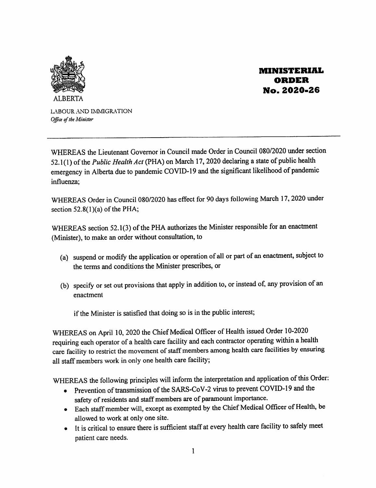

MINISTERIAL ORDER No. 2020-26

LABOUR AND IMMIGRATION Office of the Minister

WHEREAS the Lieutenant Governor in Council made Order in Council 080/2020 under section 52.1(1) of the *Public Health Act* (PHA) on March 17, 2020 declaring a state of public health emergency in Alberta due to pandemic COVID-19 and the sigmficant likelihood of pandemic influenza;

WHEREAS Order in Council 080/2020 has effect for 90 days following March 17, 2020 under section  $52.8(1)(a)$  of the PHA;

WHEREAS section 52.1(3) of the PHA authorizes the Minister responsible for an enactment (Minister), to make an order without consultation, to

- (a) suspend or modify the application or operation of all or part of an enactment, subject to the terms and conditions the Minister prescribes, or
- (b) specify or set out provisions that apply in addition to, or instead of, any provision of an enactment

if the Minister is satisfied that doing so is in the public interest;

WHEREAS on April 10, 2020 the Chief Medical Officer of Health issued Order 10-2020 requiring each operator of a health care facility and each contractor operating within a health care facility to restrict the movement of staff members among health care facilities by ensuring all staff members work in only one health care facility;

WHEREAS the following principles will inform the interpretation and application of this Order:

- Prevention of transmission of the SARS-CoV-2 virus to prevent COVID-19 and the safety of residents and staff members are of paramount importance.
- Each staff member will, except as exempted by the Chief Medical Officer of Health, be allowed to work at only one site.
- It is critical to ensure there is sufficient staff at every health care facility to safely meet patient care needs.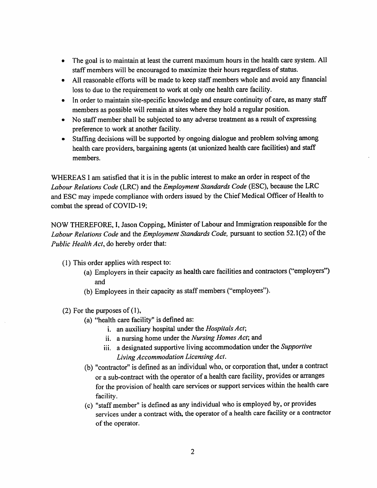- The goal is to maintain at least the current maximum hours in the health care system. All staff members will be encouraged to maximize their hours regardless of status.
- All reasonable efforts will be made to keep staff members whole and avoid any financial loss to due to the requirement to work at only one health care facility.
- In order to maintain site-specific knowledge and ensure continuity of care, as many staff members as possible will remain at sites where they hold a regular position.
- No staff member shall be subjected to any adverse treatment as a result of expressing preference to work at another facility.
- Staffing decisions will be supported by ongoing dialogue and problem solving among health care providers, bargaining agents (at unionized health care facilities) and staff members.

WHEREAS I am satisfied that it is in the public interest to make an order in respect of the Labour Relations Code (LRC) and the Employment Standards Code (ESC), because the LRC and ESC may impede compliance with orders issued by the Chief Medical Officer of Health to combat the spread of COVID-19;

NOW THEREFORE, I, Jason Copping, Minister of Labour and Immigration responsible for the Labour Relations Code and the Employment Standards Code, pursuant to section 52.1(2) of the Public Health Act, do hereby order that:

- (1) This order applies with respect to:
	- (a) Employers in their capacity as health care facilities and contractors ("employers") and
	- (b) Employees in their capacity as staff members ("employees").

 $(2)$  For the purposes of  $(1)$ ,

- (a) "health care facility" is defined as:
	- i. an auxiliary hospital under the Hospitals Act;
	- ii. a nursing home under the Nursing Homes Act; and
	- iii. a designated supportive living accommodation under the Supportive Living Accommodation Licensing Act.
- (b) "contractor" is defined as an individual who, or corporation that, under a contract or a sub-contract with the operator of a health care facility, provides or arranges for the provision of health care services or support services within the health care facility.
- (c) "staff member" is defined as any individual who is employed by, or provides services under a contract with, the operator of a health care facility or a contractor of the operator.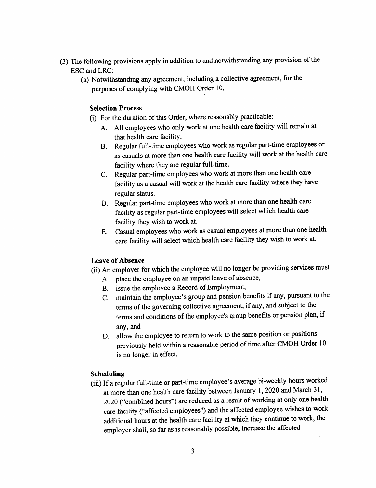- (3) The following provisions apply in addition to and notwithstanding any provision of the ESC and LRC:
	- (a) Notwithstanding any agreement, including a collective agreement, for the purposes of complying with CMOH Order 10,

## **Selection Process**

- (i) For the duration of this Order, where reasonably practicable:
	- A. All employees who only work at one health care facility will remain at that health care facility.
	- B. Regular full-time employees who work as regular part-time employees or as casuals at more than one health care facility will work at the health care facility where they are regular full-time.
	- C. Regular part-time employees who work at more than one health care facility as a casual will work at the health care facility where they have regular status.
	- D. Regular part-time employees who work at more than one health care facility as regular part-time employees will select which health care facility they wish to work at.
	- E. Casual employees who work as casual employees at more than one health care facility will select which health care facility they wish to work at.

### **Leave of Absence**

(ii) An employer for which the employee will no longer be providing services must

- A. place the employee on an unpaid leave of absence.
- B. issue the employee a Record of Employment,
- C. maintain the employee's group and pension benefits if any, pursuant to the terms of the governing collective agreement, if any, and subject to the terms and conditions of the employee's group benefits or pension plan, if any, and
- D. allow the employee to return to work to the same position or positions previously held within a reasonable period of time after CMOH Order 10 is no longer in effect.

# Scheduling

(iii) If a regular full-time or part-time employee's average bi-weekly hours worked at more than one health care facility between January 1, 2020 and March 31, 2020 ("combined hours") are reduced as a result of working at only one health care facility ("affected employees") and the affected employee wishes to work additional hours at the health care facility at which they continue to work, the employer shall, so far as is reasonably possible, increase the affected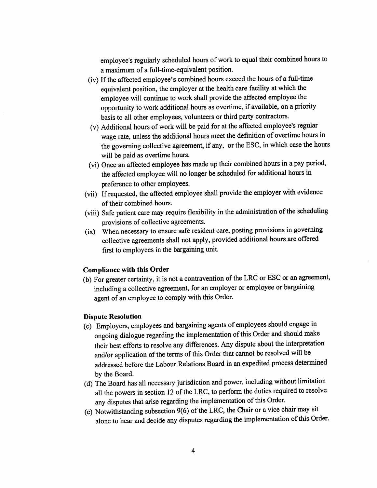employee's regularly scheduled hours of work to equal their combined hours to a maximum of a full-time-equivalent position.

- (iv) If the affected employee's combined hours exceed the hours of a full-time equivalent position, the employer at the health care facility at which the employee will continue to work shall provide the affected employee the opportunity to work additional hours as overtime, if available, on a priority basis to all other employees, volunteers or third party contractors.
- (v) Additional hours of work will be paid for at the affected employee's regular wage rate, unless the additional hours meet the definition of overtime hours in the governing collective agreement, if any, or the ESC, in which case the hours will be paid as overtime hours.
- (vi) Once an affected employee has made up their combined hours in a pay period, the affected employee will no longer be scheduled for additional hours in preference to other employees.
- (vii) If requested, the affected employee shall provide the employer with evidence of their combined hours.
- (viii) Safe patient care may require flexibility in the administration of the scheduling provisions of collective agreements.
- (ix) When necessary to ensure safe resident care, posting provisions in governing collective agreements shall not apply, provided additional hours are offered first to employees in the bargaining unit.

### **Compliance with this Order**

(b) For greater certainty, it is not a contravention of the LRC or ESC or an agreement, including a collective agreement, for an employer or employee or bargaining agent of an employee to comply with this Order.

### **Dispute Resolution**

- (c) Employers, employees and bargaining agents of employees should engage in ongoing dialogue regarding the implementation of this Order and should make their best efforts to resolve any differences. Any dispute about the interpretation and/or application of the terms of this Order that cannot be resolved will be addressed before the Labour Relations Board in an expedited process determined by the Board.
- (d) The Board has all necessary jurisdiction and power, including without limitation all the powers in section 12 of the LRC, to perform the duties required to resolve any disputes that arise regarding the implementation of this Order.
- (e) Notwithstanding subsection 9(6) of the LRC, the Chair or a vice chair may sit alone to hear and decide any disputes regarding the implementation of this Order.